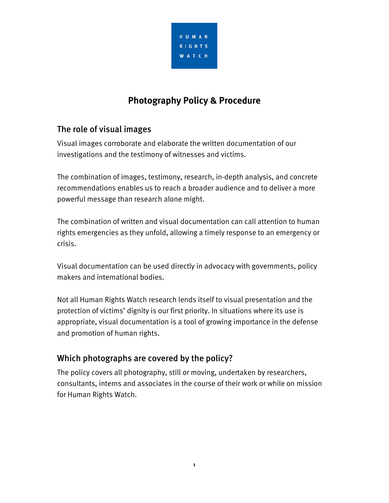

# **Photography Policy & Procedure**

## The role of visual images

Visual images corroborate and elaborate the written documentation of our investigations and the testimony of witnesses and victims.

The combination of images, testimony, research, in-depth analysis, and concrete recommendations enables us to reach a broader audience and to deliver a more powerful message than research alone might.

The combination of written and visual documentation can call attention to human rights emergencies as they unfold, allowing a timely response to an emergency or crisis.

Visual documentation can be used directly in advocacy with governments, policy makers and international bodies.

Not all Human Rights Watch research lends itself to visual presentation and the protection of victims' dignity is our first priority. In situations where its use is appropriate, visual documentation is a tool of growing importance in the defense and promotion of human rights.

## Which photographs are covered by the policy?

The policy covers all photography, still or moving, undertaken by researchers, consultants, interns and associates in the course of their work or while on mission for Human Rights Watch.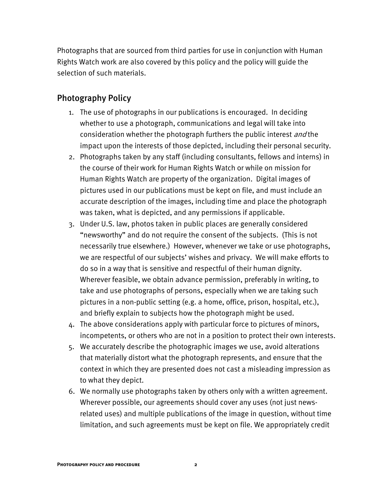Photographs that are sourced from third parties for use in conjunction with Human Rights Watch work are also covered by this policy and the policy will guide the selection of such materials.

#### Photography Policy

- 1. The use of photographs in our publications is encouraged. In deciding whether to use a photograph, communications and legal will take into consideration whether the photograph furthers the public interest and the impact upon the interests of those depicted, including their personal security.
- 2. Photographs taken by any staff (including consultants, fellows and interns) in the course of their work for Human Rights Watch or while on mission for Human Rights Watch are property of the organization. Digital images of pictures used in our publications must be kept on file, and must include an accurate description of the images, including time and place the photograph was taken, what is depicted, and any permissions if applicable.
- 3. Under U.S. law, photos taken in public places are generally considered "newsworthy" and do not require the consent of the subjects. (This is not necessarily true elsewhere.) However, whenever we take or use photographs, we are respectful of our subjects' wishes and privacy. We will make efforts to do so in a way that is sensitive and respectful of their human dignity. Wherever feasible, we obtain advance permission, preferably in writing, to take and use photographs of persons, especially when we are taking such pictures in a non-public setting (e.g. a home, office, prison, hospital, etc.), and briefly explain to subjects how the photograph might be used.
- 4. The above considerations apply with particular force to pictures of minors, incompetents, or others who are not in a position to protect their own interests.
- 5. We accurately describe the photographic images we use, avoid alterations that materially distort what the photograph represents, and ensure that the context in which they are presented does not cast a misleading impression as to what they depict.
- 6. We normally use photographs taken by others only with a written agreement. Wherever possible, our agreements should cover any uses (not just newsrelated uses) and multiple publications of the image in question, without time limitation, and such agreements must be kept on file. We appropriately credit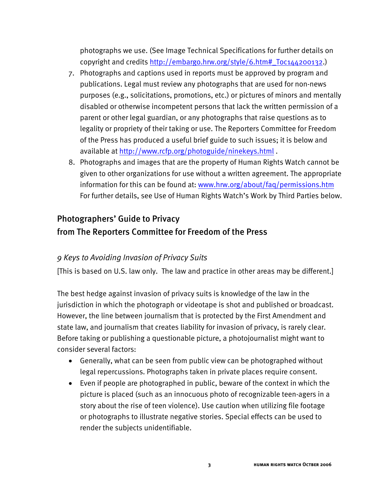photographs we use. (See Image Technical Specifications for further details on copyright and credits http://embargo.hrw.org/style/6.htm#\_Toc144200132.)

- 7. Photographs and captions used in reports must be approved by program and publications. Legal must review any photographs that are used for non-news purposes (e.g., solicitations, promotions, etc.) or pictures of minors and mentally disabled or otherwise incompetent persons that lack the written permission of a parent or other legal guardian, or any photographs that raise questions as to legality or propriety of their taking or use. The Reporters Committee for Freedom of the Press has produced a useful brief guide to such issues; it is below and available at http://www.rcfp.org/photoguide/ninekeys.html .
- 8. Photographs and images that are the property of Human Rights Watch cannot be given to other organizations for use without a written agreement. The appropriate information for this can be found at: www.hrw.org/about/faq/permissions.htm For further details, see Use of Human Rights Watch's Work by Third Parties below.

## Photographers' Guide to Privacy from The Reporters Committee for Freedom of the Press

## *9 Keys to Avoiding Invasion of Privacy Suits*

[This is based on U.S. law only. The law and practice in other areas may be different.]

The best hedge against invasion of privacy suits is knowledge of the law in the jurisdiction in which the photograph or videotape is shot and published or broadcast. However, the line between journalism that is protected by the First Amendment and state law, and journalism that creates liability for invasion of privacy, is rarely clear. Before taking or publishing a questionable picture, a photojournalist might want to consider several factors:

- Generally, what can be seen from public view can be photographed without legal repercussions. Photographs taken in private places require consent.
- Even if people are photographed in public, beware of the context in which the picture is placed (such as an innocuous photo of recognizable teen-agers in a story about the rise of teen violence). Use caution when utilizing file footage or photographs to illustrate negative stories. Special effects can be used to render the subjects unidentifiable.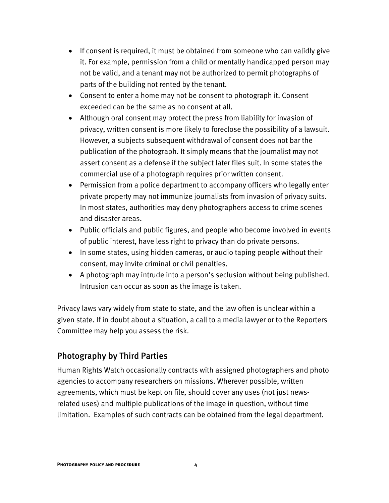- If consent is required, it must be obtained from someone who can validly give it. For example, permission from a child or mentally handicapped person may not be valid, and a tenant may not be authorized to permit photographs of parts of the building not rented by the tenant.
- Consent to enter a home may not be consent to photograph it. Consent exceeded can be the same as no consent at all.
- Although oral consent may protect the press from liability for invasion of privacy, written consent is more likely to foreclose the possibility of a lawsuit. However, a subjects subsequent withdrawal of consent does not bar the publication of the photograph. It simply means that the journalist may not assert consent as a defense if the subject later files suit. In some states the commercial use of a photograph requires prior written consent.
- Permission from a police department to accompany officers who legally enter private property may not immunize journalists from invasion of privacy suits. In most states, authorities may deny photographers access to crime scenes and disaster areas.
- Public officials and public figures, and people who become involved in events of public interest, have less right to privacy than do private persons.
- In some states, using hidden cameras, or audio taping people without their consent, may invite criminal or civil penalties.
- A photograph may intrude into a person's seclusion without being published. Intrusion can occur as soon as the image is taken.

Privacy laws vary widely from state to state, and the law often is unclear within a given state. If in doubt about a situation, a call to a media lawyer or to the Reporters Committee may help you assess the risk.

## Photography by Third Parties

Human Rights Watch occasionally contracts with assigned photographers and photo agencies to accompany researchers on missions. Wherever possible, written agreements, which must be kept on file, should cover any uses (not just newsrelated uses) and multiple publications of the image in question, without time limitation. Examples of such contracts can be obtained from the legal department.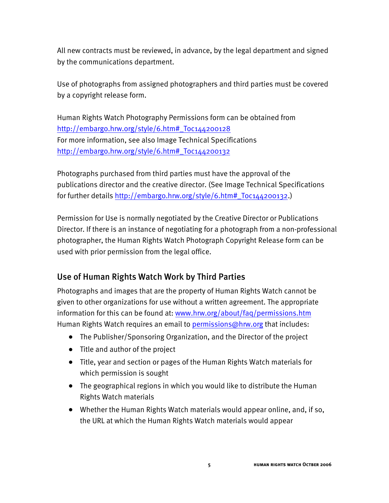All new contracts must be reviewed, in advance, by the legal department and signed by the communications department.

Use of photographs from assigned photographers and third parties must be covered by a copyright release form.

Human Rights Watch Photography Permissions form can be obtained from http://embargo.hrw.org/style/6.htm#\_Toc144200128 For more information, see also Image Technical Specifications http://embargo.hrw.org/style/6.htm#\_Toc144200132

Photographs purchased from third parties must have the approval of the publications director and the creative director. (See Image Technical Specifications for further details http://embargo.hrw.org/style/6.htm#\_Toc144200132.)

Permission for Use is normally negotiated by the Creative Director or Publications Director. If there is an instance of negotiating for a photograph from a non-professional photographer, the Human Rights Watch Photograph Copyright Release form can be used with prior permission from the legal office.

## Use of Human Rights Watch Work by Third Parties

Photographs and images that are the property of Human Rights Watch cannot be given to other organizations for use without a written agreement. The appropriate information for this can be found at: www.hrw.org/about/faq/permissions.htm Human Rights Watch requires an email to permissions@hrw.org that includes:

- The Publisher/Sponsoring Organization, and the Director of the project
- Title and author of the project
- Title, year and section or pages of the Human Rights Watch materials for which permission is sought
- The geographical regions in which you would like to distribute the Human Rights Watch materials
- Whether the Human Rights Watch materials would appear online, and, if so, the URL at which the Human Rights Watch materials would appear